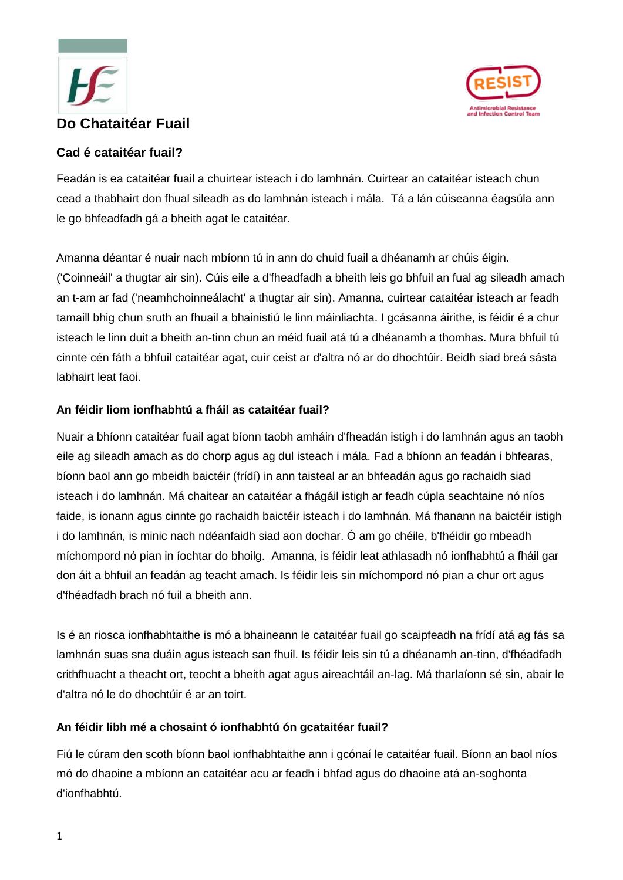



# **Cad é cataitéar fuail?**

Feadán is ea cataitéar fuail a chuirtear isteach i do lamhnán. Cuirtear an cataitéar isteach chun cead a thabhairt don fhual sileadh as do lamhnán isteach i mála. Tá a lán cúiseanna éagsúla ann le go bhfeadfadh gá a bheith agat le cataitéar.

Amanna déantar é nuair nach mbíonn tú in ann do chuid fuail a dhéanamh ar chúis éigin. ('Coinneáil' a thugtar air sin). Cúis eile a d'fheadfadh a bheith leis go bhfuil an fual ag sileadh amach an t-am ar fad ('neamhchoinneálacht' a thugtar air sin). Amanna, cuirtear cataitéar isteach ar feadh tamaill bhig chun sruth an fhuail a bhainistiú le linn máinliachta. I gcásanna áirithe, is féidir é a chur isteach le linn duit a bheith an-tinn chun an méid fuail atá tú a dhéanamh a thomhas. Mura bhfuil tú cinnte cén fáth a bhfuil cataitéar agat, cuir ceist ar d'altra nó ar do dhochtúir. Beidh siad breá sásta labhairt leat faoi.

### **An féidir liom ionfhabhtú a fháil as cataitéar fuail?**

Nuair a bhíonn cataitéar fuail agat bíonn taobh amháin d'fheadán istigh i do lamhnán agus an taobh eile ag sileadh amach as do chorp agus ag dul isteach i mála. Fad a bhíonn an feadán i bhfearas, bíonn baol ann go mbeidh baictéir (frídí) in ann taisteal ar an bhfeadán agus go rachaidh siad isteach i do lamhnán. Má chaitear an cataitéar a fhágáil istigh ar feadh cúpla seachtaine nó níos faide, is ionann agus cinnte go rachaidh baictéir isteach i do lamhnán. Má fhanann na baictéir istigh i do lamhnán, is minic nach ndéanfaidh siad aon dochar. Ó am go chéile, b'fhéidir go mbeadh míchompord nó pian in íochtar do bhoilg. Amanna, is féidir leat athlasadh nó ionfhabhtú a fháil gar don áit a bhfuil an feadán ag teacht amach. Is féidir leis sin míchompord nó pian a chur ort agus d'fhéadfadh brach nó fuil a bheith ann.

Is é an riosca ionfhabhtaithe is mó a bhaineann le cataitéar fuail go scaipfeadh na frídí atá ag fás sa lamhnán suas sna duáin agus isteach san fhuil. Is féidir leis sin tú a dhéanamh an-tinn, d'fhéadfadh crithfhuacht a theacht ort, teocht a bheith agat agus aireachtáil an-lag. Má tharlaíonn sé sin, abair le d'altra nó le do dhochtúir é ar an toirt.

### **An féidir libh mé a chosaint ó ionfhabhtú ón gcataitéar fuail?**

Fiú le cúram den scoth bíonn baol ionfhabhtaithe ann i gcónaí le cataitéar fuail. Bíonn an baol níos mó do dhaoine a mbíonn an cataitéar acu ar feadh i bhfad agus do dhaoine atá an-soghonta d'ionfhabhtú.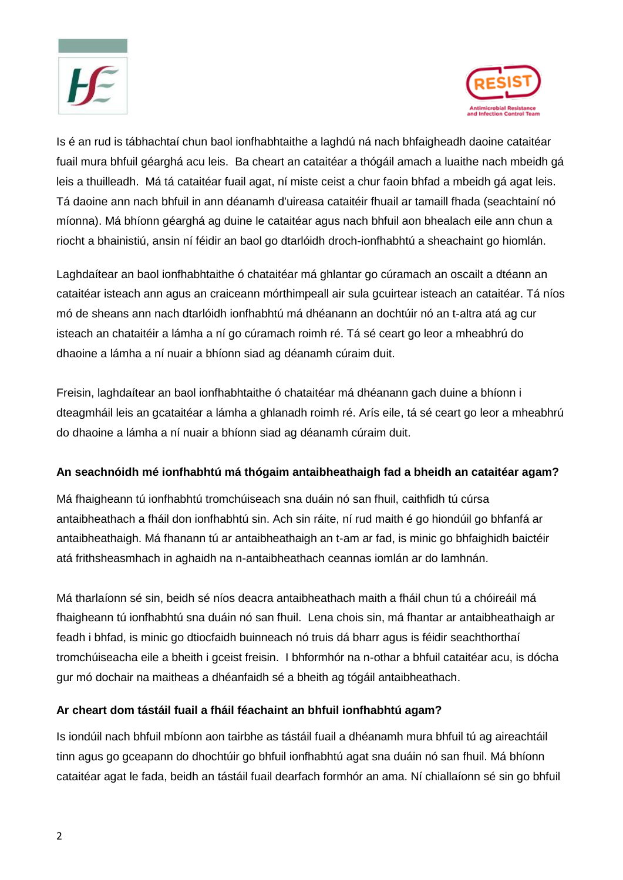



Is é an rud is tábhachtaí chun baol ionfhabhtaithe a laghdú ná nach bhfaigheadh daoine cataitéar fuail mura bhfuil géarghá acu leis. Ba cheart an cataitéar a thógáil amach a luaithe nach mbeidh gá leis a thuilleadh. Má tá cataitéar fuail agat, ní miste ceist a chur faoin bhfad a mbeidh gá agat leis. Tá daoine ann nach bhfuil in ann déanamh d'uireasa cataitéir fhuail ar tamaill fhada (seachtainí nó míonna). Má bhíonn géarghá ag duine le cataitéar agus nach bhfuil aon bhealach eile ann chun a riocht a bhainistiú, ansin ní féidir an baol go dtarlóidh droch-ionfhabhtú a sheachaint go hiomlán.

Laghdaítear an baol ionfhabhtaithe ó chataitéar má ghlantar go cúramach an oscailt a dtéann an cataitéar isteach ann agus an craiceann mórthimpeall air sula gcuirtear isteach an cataitéar. Tá níos mó de sheans ann nach dtarlóidh ionfhabhtú má dhéanann an dochtúir nó an t-altra atá ag cur isteach an chataitéir a lámha a ní go cúramach roimh ré. Tá sé ceart go leor a mheabhrú do dhaoine a lámha a ní nuair a bhíonn siad ag déanamh cúraim duit.

Freisin, laghdaítear an baol ionfhabhtaithe ó chataitéar má dhéanann gach duine a bhíonn i dteagmháil leis an gcataitéar a lámha a ghlanadh roimh ré. Arís eile, tá sé ceart go leor a mheabhrú do dhaoine a lámha a ní nuair a bhíonn siad ag déanamh cúraim duit.

### **An seachnóidh mé ionfhabhtú má thógaim antaibheathaigh fad a bheidh an cataitéar agam?**

Má fhaigheann tú ionfhabhtú tromchúiseach sna duáin nó san fhuil, caithfidh tú cúrsa antaibheathach a fháil don ionfhabhtú sin. Ach sin ráite, ní rud maith é go hiondúil go bhfanfá ar antaibheathaigh. Má fhanann tú ar antaibheathaigh an t-am ar fad, is minic go bhfaighidh baictéir atá frithsheasmhach in aghaidh na n-antaibheathach ceannas iomlán ar do lamhnán.

Má tharlaíonn sé sin, beidh sé níos deacra antaibheathach maith a fháil chun tú a chóireáil má fhaigheann tú ionfhabhtú sna duáin nó san fhuil. Lena chois sin, má fhantar ar antaibheathaigh ar feadh i bhfad, is minic go dtiocfaidh buinneach nó truis dá bharr agus is féidir seachthorthaí tromchúiseacha eile a bheith i gceist freisin. I bhformhór na n-othar a bhfuil cataitéar acu, is dócha gur mó dochair na maitheas a dhéanfaidh sé a bheith ag tógáil antaibheathach.

### **Ar cheart dom tástáil fuail a fháil féachaint an bhfuil ionfhabhtú agam?**

Is iondúil nach bhfuil mbíonn aon tairbhe as tástáil fuail a dhéanamh mura bhfuil tú ag aireachtáil tinn agus go gceapann do dhochtúir go bhfuil ionfhabhtú agat sna duáin nó san fhuil. Má bhíonn cataitéar agat le fada, beidh an tástáil fuail dearfach formhór an ama. Ní chiallaíonn sé sin go bhfuil